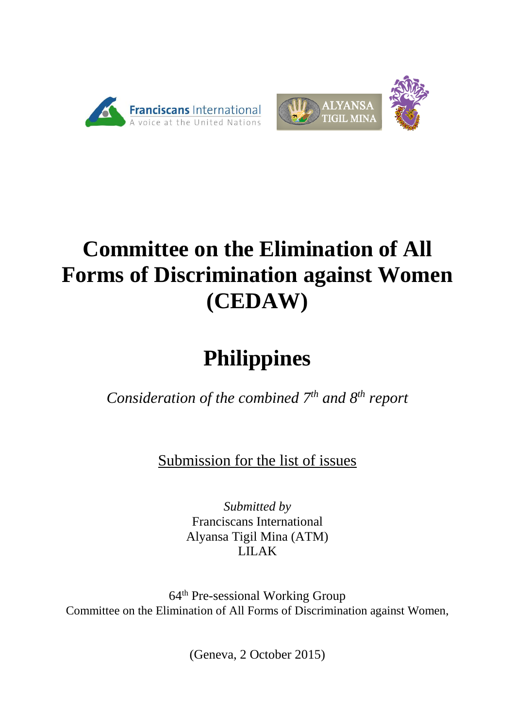



# **Committee on the Elimination of All Forms of Discrimination against Women (CEDAW)**

# **Philippines**

*Consideration of the combined 7th and 8th report* 

Submission for the list of issues

*Submitted by* Franciscans International Alyansa Tigil Mina (ATM) LILAK

64th Pre-sessional Working Group Committee on the Elimination of All Forms of Discrimination against Women,

(Geneva, 2 October 2015)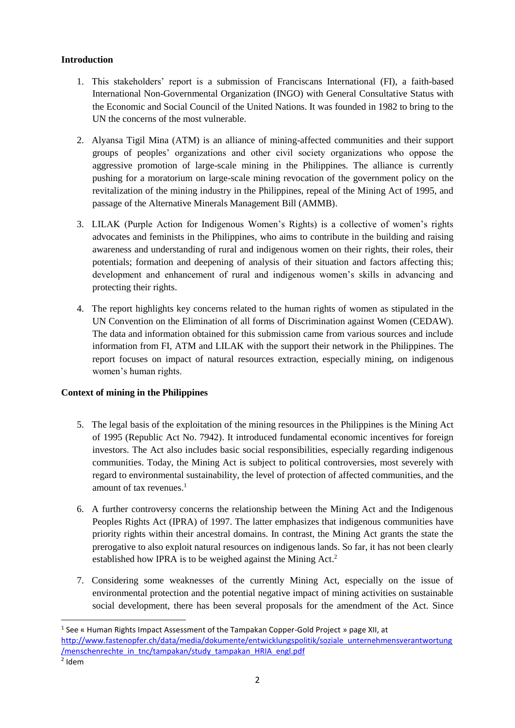# **Introduction**

- 1. This stakeholders' report is a submission of Franciscans International (FI), a faith-based International Non-Governmental Organization (INGO) with General Consultative Status with the Economic and Social Council of the United Nations. It was founded in 1982 to bring to the UN the concerns of the most vulnerable.
- 2. Alyansa Tigil Mina (ATM) is an alliance of mining-affected communities and their support groups of peoples' organizations and other civil society organizations who oppose the aggressive promotion of large-scale mining in the Philippines. The alliance is currently pushing for a moratorium on large-scale mining revocation of the government policy on the revitalization of the mining industry in the Philippines, repeal of the Mining Act of 1995, and passage of the Alternative Minerals Management Bill (AMMB).
- 3. LILAK (Purple Action for Indigenous Women's Rights) is a collective of women's rights advocates and feminists in the Philippines, who aims to contribute in the building and raising awareness and understanding of rural and indigenous women on their rights, their roles, their potentials; formation and deepening of analysis of their situation and factors affecting this; development and enhancement of rural and indigenous women's skills in advancing and protecting their rights.
- 4. The report highlights key concerns related to the human rights of women as stipulated in the UN Convention on the Elimination of all forms of Discrimination against Women (CEDAW). The data and information obtained for this submission came from various sources and include information from FI, ATM and LILAK with the support their network in the Philippines. The report focuses on impact of natural resources extraction, especially mining, on indigenous women's human rights.

# **Context of mining in the Philippines**

- 5. The legal basis of the exploitation of the mining resources in the Philippines is the Mining Act of 1995 (Republic Act No. 7942). It introduced fundamental economic incentives for foreign investors. The Act also includes basic social responsibilities, especially regarding indigenous communities. Today, the Mining Act is subject to political controversies, most severely with regard to environmental sustainability, the level of protection of affected communities, and the amount of tax revenues.<sup>1</sup>
- 6. A further controversy concerns the relationship between the Mining Act and the Indigenous Peoples Rights Act (IPRA) of 1997. The latter emphasizes that indigenous communities have priority rights within their ancestral domains. In contrast, the Mining Act grants the state the prerogative to also exploit natural resources on indigenous lands. So far, it has not been clearly established how IPRA is to be weighed against the Mining Act.<sup>2</sup>
- 7. Considering some weaknesses of the currently Mining Act, especially on the issue of environmental protection and the potential negative impact of mining activities on sustainable social development, there has been several proposals for the amendment of the Act. Since

1

<sup>&</sup>lt;sup>1</sup> See « Human Rights Impact Assessment of the Tampakan Copper-Gold Project » page XII, at [http://www.fastenopfer.ch/data/media/dokumente/entwicklungspolitik/soziale\\_unternehmensverantwortung](http://www.fastenopfer.ch/data/media/dokumente/entwicklungspolitik/soziale_unternehmensverantwortung/menschenrechte_in_tnc/tampakan/study_tampakan_HRIA_engl.pdf) [/menschenrechte\\_in\\_tnc/tampakan/study\\_tampakan\\_HRIA\\_engl.pdf](http://www.fastenopfer.ch/data/media/dokumente/entwicklungspolitik/soziale_unternehmensverantwortung/menschenrechte_in_tnc/tampakan/study_tampakan_HRIA_engl.pdf)

<sup>2</sup> Idem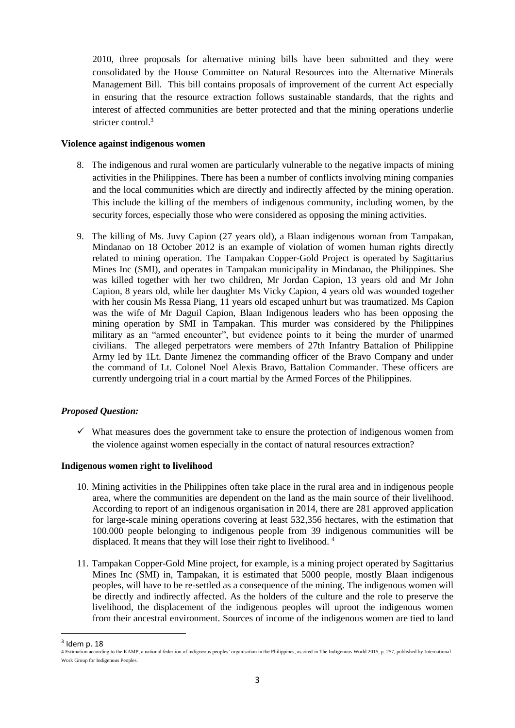2010, three proposals for alternative mining bills have been submitted and they were consolidated by the House Committee on Natural Resources into the Alternative Minerals Management Bill. This bill contains proposals of improvement of the current Act especially in ensuring that the resource extraction follows sustainable standards, that the rights and interest of affected communities are better protected and that the mining operations underlie stricter control.<sup>3</sup>

#### **Violence against indigenous women**

- 8. The indigenous and rural women are particularly vulnerable to the negative impacts of mining activities in the Philippines. There has been a number of conflicts involving mining companies and the local communities which are directly and indirectly affected by the mining operation. This include the killing of the members of indigenous community, including women, by the security forces, especially those who were considered as opposing the mining activities.
- 9. The killing of Ms. Juvy Capion (27 years old), a Blaan indigenous woman from Tampakan, Mindanao on 18 October 2012 is an example of violation of women human rights directly related to mining operation. The Tampakan Copper-Gold Project is operated by Sagittarius Mines Inc (SMI), and operates in Tampakan municipality in Mindanao, the Philippines. She was killed together with her two children, Mr Jordan Capion, 13 years old and Mr John Capion, 8 years old, while her daughter Ms Vicky Capion, 4 years old was wounded together with her cousin Ms Ressa Piang, 11 years old escaped unhurt but was traumatized. Ms Capion was the wife of Mr Daguil Capion, Blaan Indigenous leaders who has been opposing the mining operation by SMI in Tampakan. This murder was considered by the Philippines military as an "armed encounter", but evidence points to it being the murder of unarmed civilians. The alleged perpetrators were members of 27th Infantry Battalion of Philippine Army led by 1Lt. Dante Jimenez the commanding officer of the Bravo Company and under the command of Lt. Colonel Noel Alexis Bravo, Battalion Commander. These officers are currently undergoing trial in a court martial by the Armed Forces of the Philippines.

# *Proposed Question:*

 $\checkmark$  What measures does the government take to ensure the protection of indigenous women from the violence against women especially in the contact of natural resources extraction?

#### **Indigenous women right to livelihood**

- 10. Mining activities in the Philippines often take place in the rural area and in indigenous people area, where the communities are dependent on the land as the main source of their livelihood. According to report of an indigenous organisation in 2014, there are 281 approved application for large-scale mining operations covering at least 532,356 hectares, with the estimation that 100.000 people belonging to indigenous people from 39 indigenous communities will be displaced. It means that they will lose their right to livelihood.<sup>4</sup>
- 11. Tampakan Copper-Gold Mine project, for example, is a mining project operated by Sagittarius Mines Inc (SMI) in, Tampakan, it is estimated that 5000 people, mostly Blaan indigenous peoples, will have to be re-settled as a consequence of the mining. The indigenous women will be directly and indirectly affected. As the holders of the culture and the role to preserve the livelihood, the displacement of the indigenous peoples will uproot the indigenous women from their ancestral environment. Sources of income of the indigenous women are tied to land

 $\overline{\phantom{a}}$ 

 $3$  Idem p. 18

<sup>4</sup> Estimation according to the KAMP, a national federtion of indigneous peoples' organisation in the Philippines, as cited in The Indigenous World 2015, p. 257, published by International Work Group for Indigenous Peoples.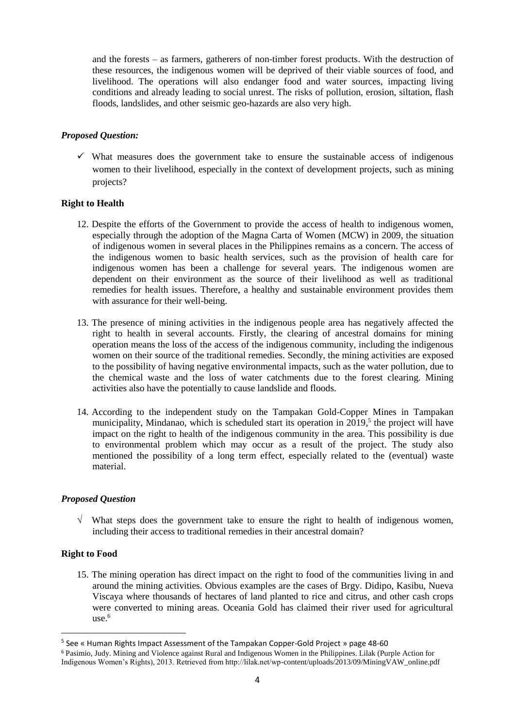and the forests – as farmers, gatherers of non-timber forest products. With the destruction of these resources, the indigenous women will be deprived of their viable sources of food, and livelihood. The operations will also endanger food and water sources, impacting living conditions and already leading to social unrest. The risks of pollution, erosion, siltation, flash floods, landslides, and other seismic geo-hazards are also very high.

#### *Proposed Question:*

 $\checkmark$  What measures does the government take to ensure the sustainable access of indigenous women to their livelihood, especially in the context of development projects, such as mining projects?

#### **Right to Health**

- 12. Despite the efforts of the Government to provide the access of health to indigenous women, especially through the adoption of the Magna Carta of Women (MCW) in 2009, the situation of indigenous women in several places in the Philippines remains as a concern. The access of the indigenous women to basic health services, such as the provision of health care for indigenous women has been a challenge for several years. The indigenous women are dependent on their environment as the source of their livelihood as well as traditional remedies for health issues. Therefore, a healthy and sustainable environment provides them with assurance for their well-being.
- 13. The presence of mining activities in the indigenous people area has negatively affected the right to health in several accounts. Firstly, the clearing of ancestral domains for mining operation means the loss of the access of the indigenous community, including the indigenous women on their source of the traditional remedies. Secondly, the mining activities are exposed to the possibility of having negative environmental impacts, such as the water pollution, due to the chemical waste and the loss of water catchments due to the forest clearing. Mining activities also have the potentially to cause landslide and floods.
- 14. According to the independent study on the Tampakan Gold-Copper Mines in Tampakan municipality, Mindanao, which is scheduled start its operation in 2019,<sup>5</sup> the project will have impact on the right to health of the indigenous community in the area. This possibility is due to environmental problem which may occur as a result of the project. The study also mentioned the possibility of a long term effect, especially related to the (eventual) waste material.

#### *Proposed Question*

 $\sqrt{\ }$  What steps does the government take to ensure the right to health of indigenous women, including their access to traditional remedies in their ancestral domain?

#### **Right to Food**

**.** 

15. The mining operation has direct impact on the right to food of the communities living in and around the mining activities. Obvious examples are the cases of Brgy. Didipo, Kasibu, Nueva Viscaya where thousands of hectares of land planted to rice and citrus, and other cash crops were converted to mining areas. Oceania Gold has claimed their river used for agricultural use. 6

<sup>&</sup>lt;sup>5</sup> See « Human Rights Impact Assessment of the Tampakan Copper-Gold Project » page 48-60

<sup>6</sup> Pasimio, Judy. Mining and Violence against Rural and Indigenous Women in the Philippines. Lilak (Purple Action for Indigenous Women's Rights), 2013. Retrieved from http://lilak.net/wp-content/uploads/2013/09/MiningVAW\_online.pdf